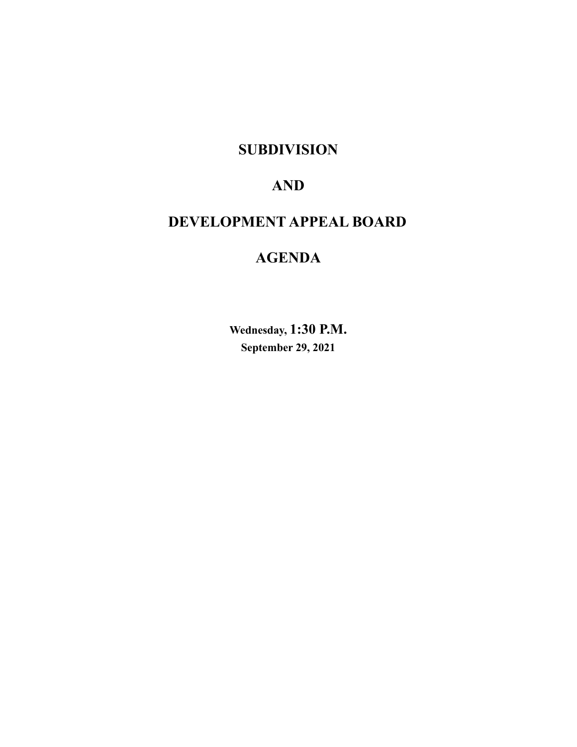**SUBDIVISION**

# **AND**

# **DEVELOPMENT APPEAL BOARD**

# **AGENDA**

**Wednesday, 1:30 P.M. September 29, 2021**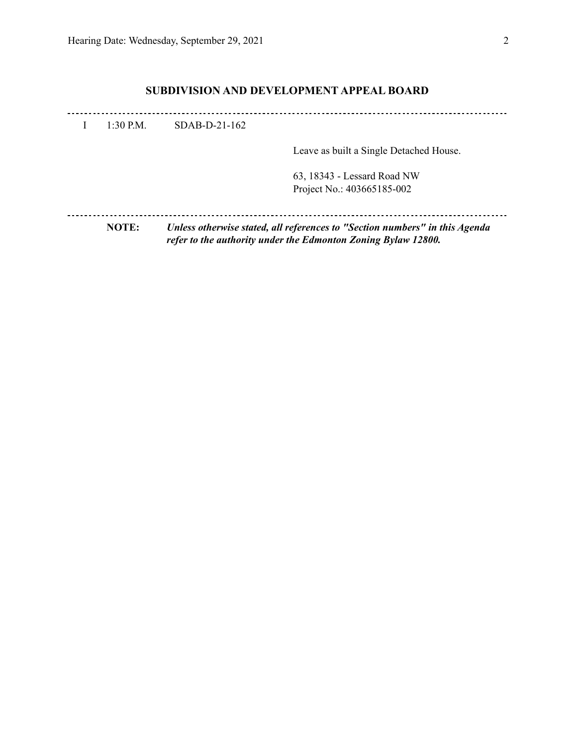# **SUBDIVISION AND DEVELOPMENT APPEAL BOARD**

| $1:30$ P.M.  | SDAB-D-21-162 |                                                                                                                                              |
|--------------|---------------|----------------------------------------------------------------------------------------------------------------------------------------------|
|              |               | Leave as built a Single Detached House.                                                                                                      |
|              |               | 63, 18343 - Lessard Road NW<br>Project No.: 403665185-002                                                                                    |
| <b>NOTE:</b> |               | Unless otherwise stated, all references to "Section numbers" in this Agenda<br>refer to the authority under the Edmonton Zoning Bylaw 12800. |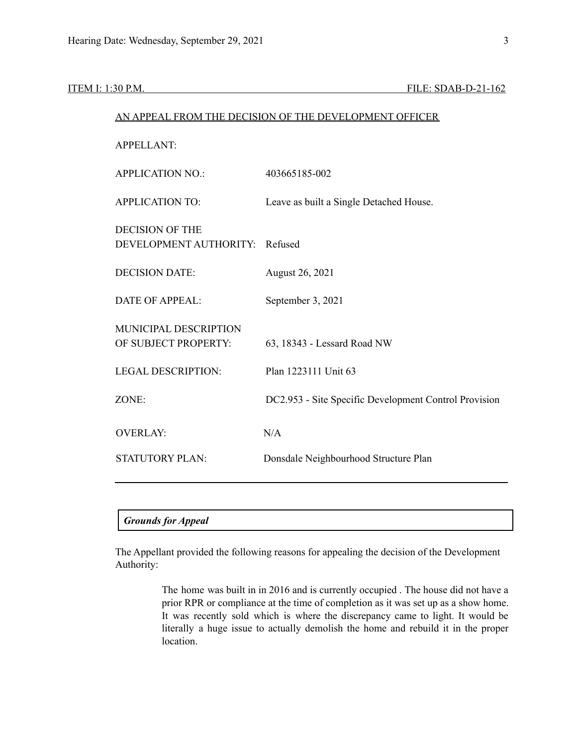|                                                          | AN APPEAL FROM THE DECISION OF THE DEVELOPMENT OFFICER |
|----------------------------------------------------------|--------------------------------------------------------|
| <b>APPELLANT:</b>                                        |                                                        |
| <b>APPLICATION NO.:</b>                                  | 403665185-002                                          |
| <b>APPLICATION TO:</b>                                   | Leave as built a Single Detached House.                |
| <b>DECISION OF THE</b><br>DEVELOPMENT AUTHORITY: Refused |                                                        |
| <b>DECISION DATE:</b>                                    | August 26, 2021                                        |
| <b>DATE OF APPEAL:</b>                                   | September 3, 2021                                      |
| MUNICIPAL DESCRIPTION<br>OF SUBJECT PROPERTY:            | 63, 18343 - Lessard Road NW                            |
| <b>LEGAL DESCRIPTION:</b>                                | Plan 1223111 Unit 63                                   |
| ZONE:                                                    | DC2.953 - Site Specific Development Control Provision  |
| <b>OVERLAY:</b>                                          | N/A                                                    |
| <b>STATUTORY PLAN:</b>                                   | Donsdale Neighbourhood Structure Plan                  |
|                                                          |                                                        |

## *Grounds for Appeal*

The Appellant provided the following reasons for appealing the decision of the Development Authority:

> The home was built in in 2016 and is currently occupied . The house did not have a prior RPR or compliance at the time of completion as it was set up as a show home. It was recently sold which is where the discrepancy came to light. It would be literally a huge issue to actually demolish the home and rebuild it in the proper location.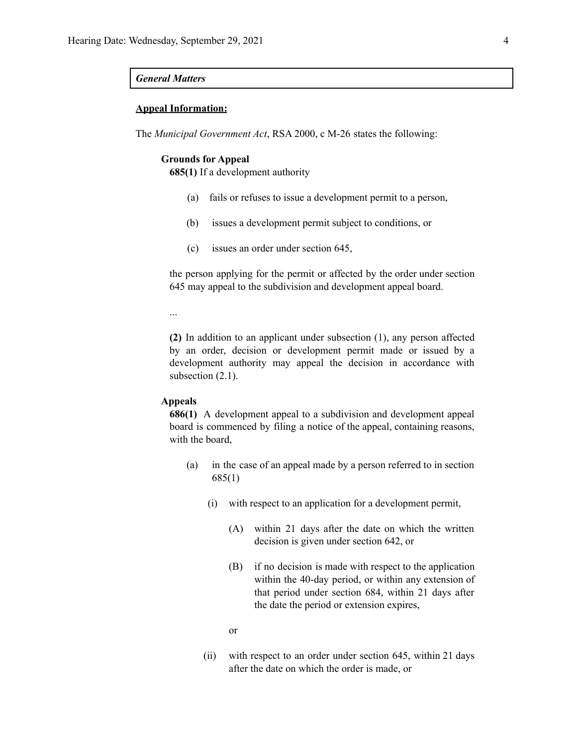### *General Matters*

### **Appeal Information:**

The *Municipal Government Act*, RSA 2000, c M-26 states the following:

#### **Grounds for Appeal**

**685(1)** If a development authority

- (a) fails or refuses to issue a development permit to a person,
- (b) issues a development permit subject to conditions, or
- (c) issues an order under section 645,

the person applying for the permit or affected by the order under section 645 may appeal to the subdivision and development appeal board.

...

**(2)** In addition to an applicant under subsection (1), any person affected by an order, decision or development permit made or issued by a development authority may appeal the decision in accordance with subsection  $(2.1)$ .

#### **Appeals**

**686(1)** A development appeal to a subdivision and development appeal board is commenced by filing a notice of the appeal, containing reasons, with the board,

- (a) in the case of an appeal made by a person referred to in section 685(1)
	- (i) with respect to an application for a development permit,
		- (A) within 21 days after the date on which the written decision is given under section 642, or
		- (B) if no decision is made with respect to the application within the 40-day period, or within any extension of that period under section 684, within 21 days after the date the period or extension expires,

or

(ii) with respect to an order under section 645, within 21 days after the date on which the order is made, or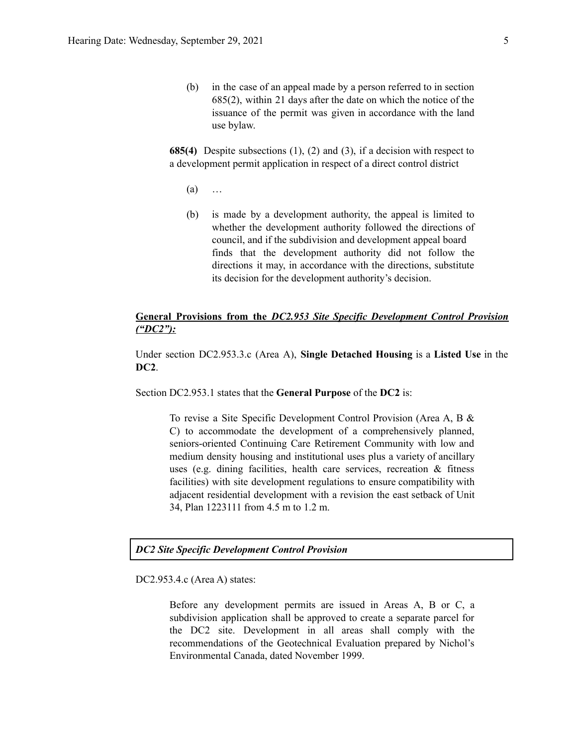(b) in the case of an appeal made by a person referred to in section 685(2), within 21 days after the date on which the notice of the issuance of the permit was given in accordance with the land use bylaw.

**685(4)** Despite subsections (1), (2) and (3), if a decision with respect to a development permit application in respect of a direct control district

- (a) …
- (b) is made by a development authority, the appeal is limited to whether the development authority followed the directions of council, and if the subdivision and development appeal board finds that the development authority did not follow the directions it may, in accordance with the directions, substitute its decision for the development authority's decision.

# **General Provisions from the** *DC2.953 Site Specific Development Control Provision ("DC2"):*

Under section DC2.953.3.c (Area A), **Single Detached Housing** is a **Listed Use** in the **DC2**.

Section DC2.953.1 states that the **General Purpose** of the **DC2** is:

To revise a Site Specific Development Control Provision (Area A, B & C) to accommodate the development of a comprehensively planned, seniors-oriented Continuing Care Retirement Community with low and medium density housing and institutional uses plus a variety of ancillary uses (e.g. dining facilities, health care services, recreation & fitness facilities) with site development regulations to ensure compatibility with adjacent residential development with a revision the east setback of Unit 34, Plan 1223111 from 4.5 m to 1.2 m.

## *DC2 Site Specific Development Control Provision*

DC2.953.4.c (Area A) states:

Before any development permits are issued in Areas A, B or C, a subdivision application shall be approved to create a separate parcel for the DC2 site. Development in all areas shall comply with the recommendations of the Geotechnical Evaluation prepared by Nichol's Environmental Canada, dated November 1999.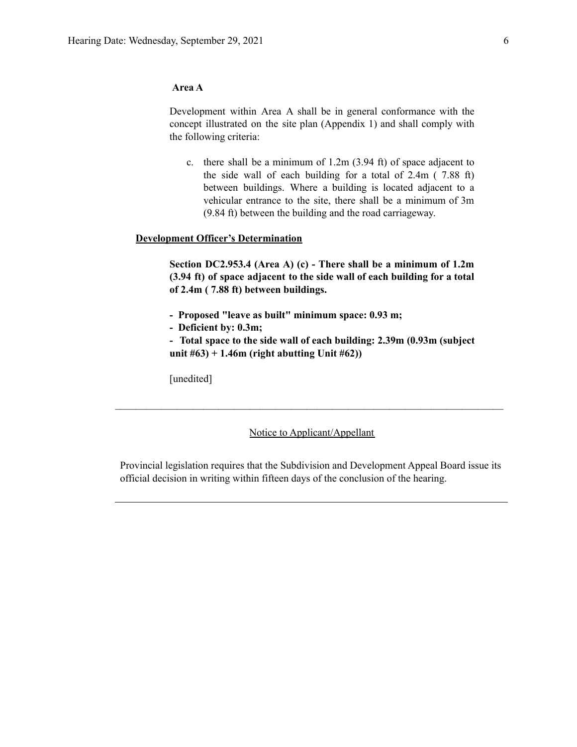# **Area A**

Development within Area A shall be in general conformance with the concept illustrated on the site plan (Appendix 1) and shall comply with the following criteria:

c. there shall be a minimum of 1.2m (3.94 ft) of space adjacent to the side wall of each building for a total of 2.4m ( 7.88 ft) between buildings. Where a building is located adjacent to a vehicular entrance to the site, there shall be a minimum of 3m (9.84 ft) between the building and the road carriageway.

# **Development Officer's Determination**

**Section DC2.953.4 (Area A) (c) - There shall be a minimum of 1.2m (3.94 ft) of space adjacent to the side wall of each building for a total of 2.4m ( 7.88 ft) between buildings.**

- **- Proposed "leave as built" minimum space: 0.93 m;**
- **- Deficient by: 0.3m;**

**- Total space to the side wall of each building: 2.39m (0.93m (subject unit #63) + 1.46m (right abutting Unit #62))**

[unedited]

## Notice to Applicant/Appellant

 $\mathcal{L}_\text{max} = \frac{1}{2} \sum_{i=1}^n \mathcal{L}_\text{max} = \frac{1}{2} \sum_{i=1}^n \mathcal{L}_\text{max} = \frac{1}{2} \sum_{i=1}^n \mathcal{L}_\text{max} = \frac{1}{2} \sum_{i=1}^n \mathcal{L}_\text{max} = \frac{1}{2} \sum_{i=1}^n \mathcal{L}_\text{max} = \frac{1}{2} \sum_{i=1}^n \mathcal{L}_\text{max} = \frac{1}{2} \sum_{i=1}^n \mathcal{L}_\text{max} = \frac{1}{2} \sum_{i=$ 

Provincial legislation requires that the Subdivision and Development Appeal Board issue its official decision in writing within fifteen days of the conclusion of the hearing.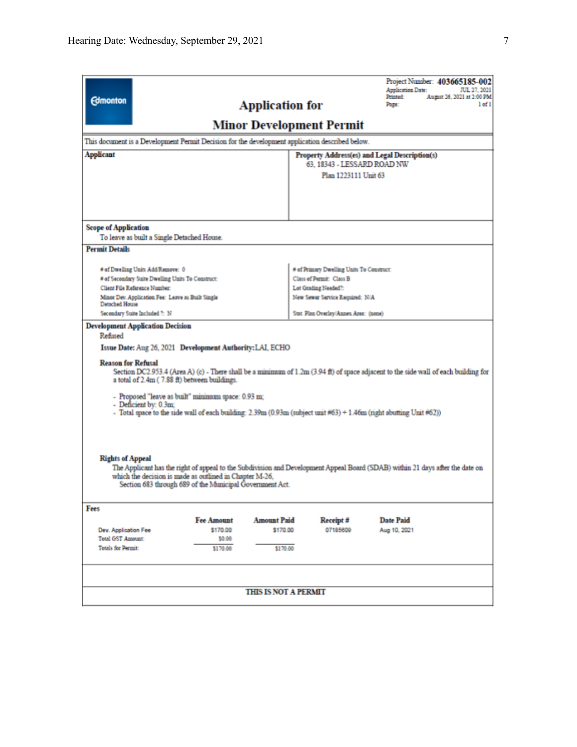| <b>Edmonton</b><br><b>Application for</b>                                                                                                                                                                                                                                                                                                                                                                                                                                                                                                                                                                                                                                                                                                                                                                                             |                                                                       | Project Number: 403665185-002<br>Application Date:<br>JUL 27, 2021<br>Printed:<br>August 26, 2021 at 2:00 PM<br>$1$ of $1$<br>Page: |  |  |  |  |  |
|---------------------------------------------------------------------------------------------------------------------------------------------------------------------------------------------------------------------------------------------------------------------------------------------------------------------------------------------------------------------------------------------------------------------------------------------------------------------------------------------------------------------------------------------------------------------------------------------------------------------------------------------------------------------------------------------------------------------------------------------------------------------------------------------------------------------------------------|-----------------------------------------------------------------------|-------------------------------------------------------------------------------------------------------------------------------------|--|--|--|--|--|
| <b>Minor Development Permit</b>                                                                                                                                                                                                                                                                                                                                                                                                                                                                                                                                                                                                                                                                                                                                                                                                       |                                                                       |                                                                                                                                     |  |  |  |  |  |
| This document is a Development Permit Decision for the development application described below.                                                                                                                                                                                                                                                                                                                                                                                                                                                                                                                                                                                                                                                                                                                                       |                                                                       |                                                                                                                                     |  |  |  |  |  |
| <b>Applicant</b>                                                                                                                                                                                                                                                                                                                                                                                                                                                                                                                                                                                                                                                                                                                                                                                                                      | Property Address(es) and Legal Description(s)                         |                                                                                                                                     |  |  |  |  |  |
|                                                                                                                                                                                                                                                                                                                                                                                                                                                                                                                                                                                                                                                                                                                                                                                                                                       | 63. 18343 - LESSARD ROAD NW<br>Plan 1223111 Unit 63                   |                                                                                                                                     |  |  |  |  |  |
|                                                                                                                                                                                                                                                                                                                                                                                                                                                                                                                                                                                                                                                                                                                                                                                                                                       |                                                                       |                                                                                                                                     |  |  |  |  |  |
|                                                                                                                                                                                                                                                                                                                                                                                                                                                                                                                                                                                                                                                                                                                                                                                                                                       |                                                                       |                                                                                                                                     |  |  |  |  |  |
|                                                                                                                                                                                                                                                                                                                                                                                                                                                                                                                                                                                                                                                                                                                                                                                                                                       |                                                                       |                                                                                                                                     |  |  |  |  |  |
| <b>Scope of Application</b>                                                                                                                                                                                                                                                                                                                                                                                                                                                                                                                                                                                                                                                                                                                                                                                                           |                                                                       |                                                                                                                                     |  |  |  |  |  |
| To leave as built a Single Detached House.                                                                                                                                                                                                                                                                                                                                                                                                                                                                                                                                                                                                                                                                                                                                                                                            |                                                                       |                                                                                                                                     |  |  |  |  |  |
| <b>Permit Details</b>                                                                                                                                                                                                                                                                                                                                                                                                                                                                                                                                                                                                                                                                                                                                                                                                                 |                                                                       |                                                                                                                                     |  |  |  |  |  |
|                                                                                                                                                                                                                                                                                                                                                                                                                                                                                                                                                                                                                                                                                                                                                                                                                                       |                                                                       |                                                                                                                                     |  |  |  |  |  |
| # of Dwelling Units Add/Remove: 0<br># of Secondary Suite Dwelling Units To Construct:                                                                                                                                                                                                                                                                                                                                                                                                                                                                                                                                                                                                                                                                                                                                                | # of Primary Dwelling Units To Construct:<br>Class of Permit: Class B |                                                                                                                                     |  |  |  |  |  |
| Client File Reference Number:                                                                                                                                                                                                                                                                                                                                                                                                                                                                                                                                                                                                                                                                                                                                                                                                         | Lot Grading Needed?:                                                  |                                                                                                                                     |  |  |  |  |  |
| Minor Dev. Application Fee: Leave as Built Single<br><b>Detached House</b>                                                                                                                                                                                                                                                                                                                                                                                                                                                                                                                                                                                                                                                                                                                                                            | New Sewer Service Required: N/A                                       |                                                                                                                                     |  |  |  |  |  |
| Secondary Suite Included 7: N                                                                                                                                                                                                                                                                                                                                                                                                                                                                                                                                                                                                                                                                                                                                                                                                         | Stat. Plan Overlay/Annex Area: (none)                                 |                                                                                                                                     |  |  |  |  |  |
| <b>Development Application Decision</b><br>Refused<br>Issue Date: Aug 26, 2021 Development Authority: LAI, ECHO<br><b>Reason for Refusal</b><br>Section DC2.953.4 (Area A) (c) - There shall be a minimum of $1.2m(3.94 ft)$ of space adjacent to the side wall of each building for<br>a total of 2.4m (7.88 ft) between buildings.<br>- Proposed "leave as built" minimum space: 0.93 m;<br>- Deficient by: 0.3m;<br>- Total space to the side wall of each building: 2.39m (0.93m (subject unit #63) + 1.46m (right abutting Unit #62))<br><b>Rights of Appeal</b><br>The Applicant has the right of appeal to the Subdivision and Development Appeal Board (SDAB) within 21 days after the date on<br>which the decision is made as outlined in Chapter M-26.<br>Section 683 through 689 of the Municipal Government Act.<br>Fees |                                                                       |                                                                                                                                     |  |  |  |  |  |
| <b>Fee Amount</b><br><b>Amount Paid</b>                                                                                                                                                                                                                                                                                                                                                                                                                                                                                                                                                                                                                                                                                                                                                                                               | Receipt #                                                             | <b>Date Paid</b>                                                                                                                    |  |  |  |  |  |
| Dev. Application Fee<br>\$170.00<br>\$170.00                                                                                                                                                                                                                                                                                                                                                                                                                                                                                                                                                                                                                                                                                                                                                                                          | 07185609                                                              | Aug 10, 2021                                                                                                                        |  |  |  |  |  |
| <b>Total GST Amount:</b><br>\$0.00<br><b>Totals for Permit:</b><br>\$170.00<br>\$170.00                                                                                                                                                                                                                                                                                                                                                                                                                                                                                                                                                                                                                                                                                                                                               |                                                                       |                                                                                                                                     |  |  |  |  |  |
| <b>THIS IS NOT A PERMIT</b>                                                                                                                                                                                                                                                                                                                                                                                                                                                                                                                                                                                                                                                                                                                                                                                                           |                                                                       |                                                                                                                                     |  |  |  |  |  |
|                                                                                                                                                                                                                                                                                                                                                                                                                                                                                                                                                                                                                                                                                                                                                                                                                                       |                                                                       |                                                                                                                                     |  |  |  |  |  |